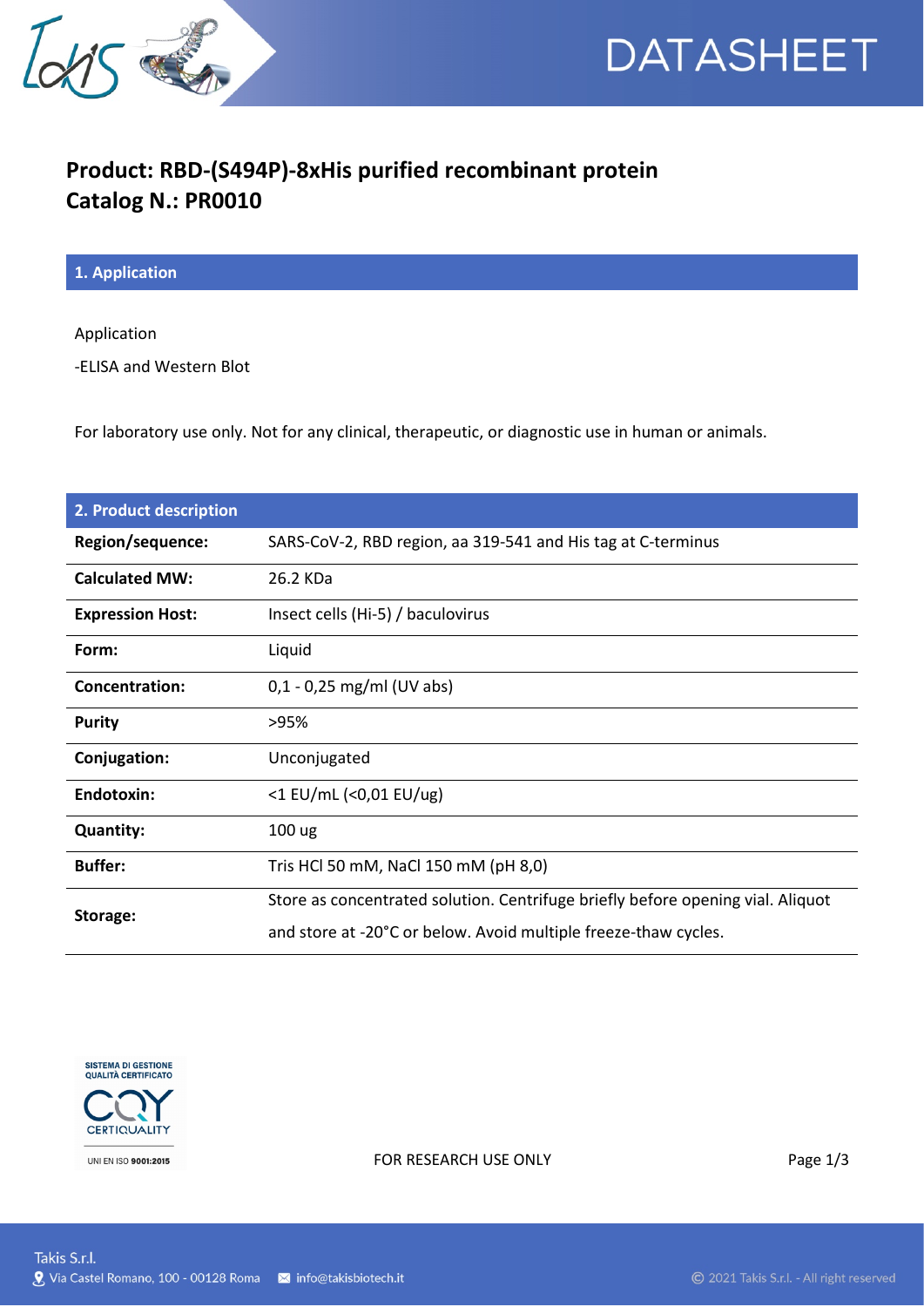



## **Product: RBD-(S494P)-8xHis purified recombinant protein Catalog N.: PR0010**

**1. Application**

Application

-ELISA and Western Blot

For laboratory use only. Not for any clinical, therapeutic, or diagnostic use in human or animals.

| 2. Product description  |                                                                                 |
|-------------------------|---------------------------------------------------------------------------------|
| Region/sequence:        | SARS-CoV-2, RBD region, aa 319-541 and His tag at C-terminus                    |
| <b>Calculated MW:</b>   | 26.2 KDa                                                                        |
| <b>Expression Host:</b> | Insect cells (Hi-5) / baculovirus                                               |
| Form:                   | Liquid                                                                          |
| Concentration:          | $0,1 - 0,25$ mg/ml (UV abs)                                                     |
| <b>Purity</b>           | >95%                                                                            |
| Conjugation:            | Unconjugated                                                                    |
| Endotoxin:              | <1 EU/mL (<0,01 EU/ug)                                                          |
| <b>Quantity:</b>        | 100 ug                                                                          |
| <b>Buffer:</b>          | Tris HCl 50 mM, NaCl 150 mM (pH 8,0)                                            |
| Storage:                | Store as concentrated solution. Centrifuge briefly before opening vial. Aliquot |
|                         | and store at -20°C or below. Avoid multiple freeze-thaw cycles.                 |



FOR RESEARCH USE ONLY Page 1/3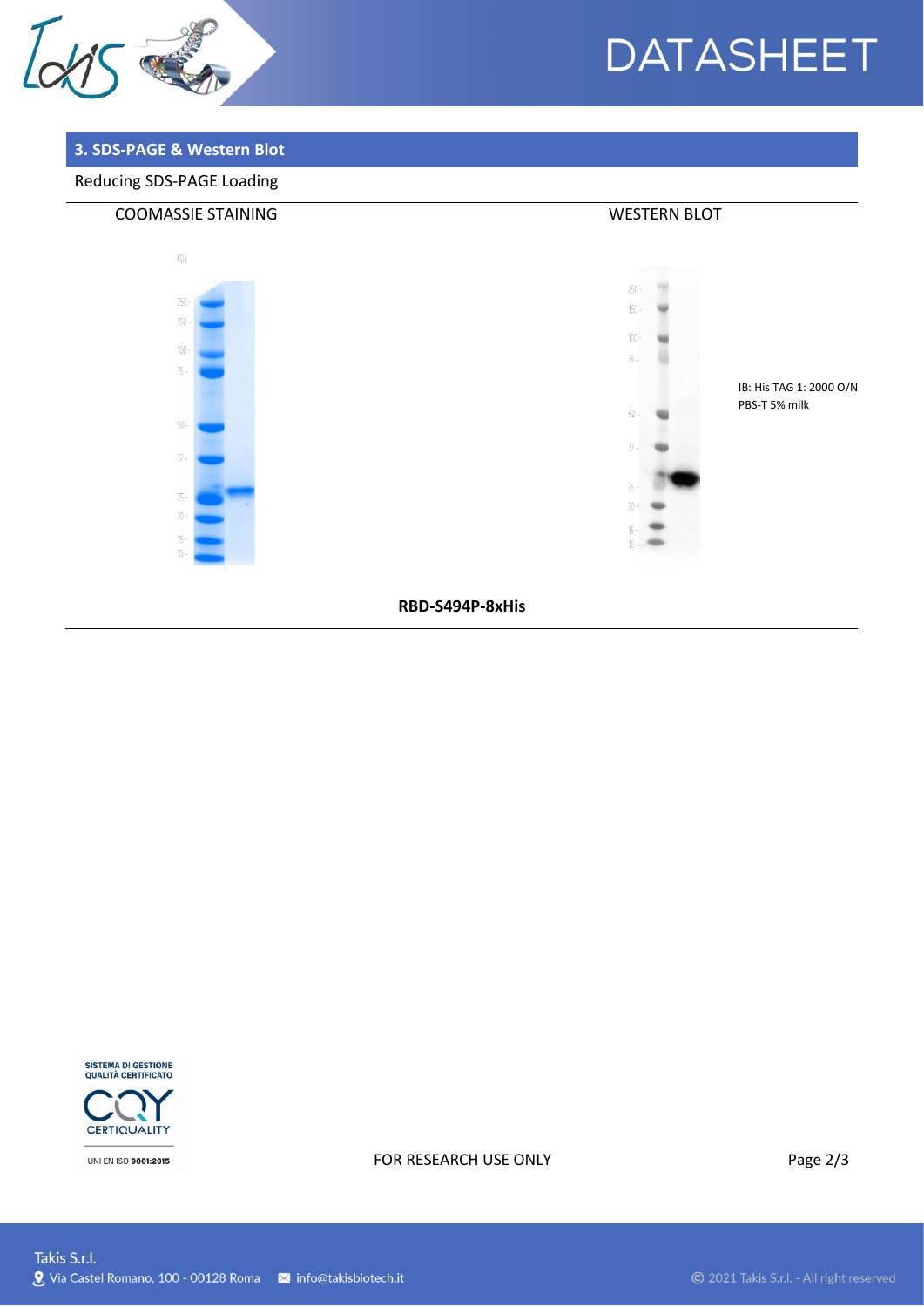

# **DATASHEET**

### 3. SDS-PAGE & Western Blot

### Reducing SDS-PAGE Loading



RBD-S494P-8xHis



UNI EN ISO 9001:2015

#### FOR RESEARCH USE ONLY

Page 2/3